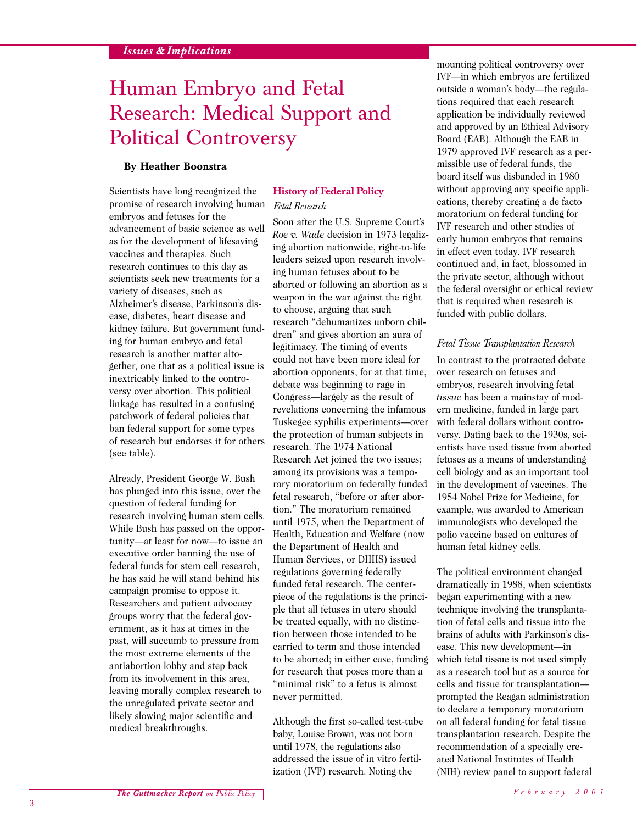# Human Embryo and Fetal Research: Medical Support and Political Controversy

# **By Heather Boonstra**

Scientists have long recognized the promise of research involving human embryos and fetuses for the advancement of basic science as well as for the development of lifesaving vaccines and therapies. Such research continues to this day as scientists seek new treatments for a variety of diseases, such as Alzheimer's disease, Parkinson's disease, diabetes, heart disease and kidney failure. But government funding for human embryo and fetal research is another matter altogether, one that as a political issue is inextricably linked to the controversy over abortion. This political linkage has resulted in a confusing patchwork of federal policies that ban federal support for some types of research but endorses it for others (see table).

Already, President George W. Bush has plunged into this issue, over the question of federal funding for research involving human stem cells. While Bush has passed on the opportunity—at least for now—to issue an executive order banning the use of federal funds for stem cell research, he has said he will stand behind his campaign promise to oppose it. Researchers and patient advocacy groups worry that the federal government, as it has at times in the past, will succumb to pressure from the most extreme elements of the antiabortion lobby and step back from its involvement in this area, leaving morally complex research to the unregulated private sector and likely slowing major scientific and medical breakthroughs.

# **History of Federal Policy**  *Fetal Research*

Soon after the U.S. Supreme Court's *Roe v. Wade* decision in 1973 legalizing abortion nationwide, right-to-life leaders seized upon research involving human fetuses about to be aborted or following an abortion as a weapon in the war against the right to choose, arguing that such research "dehumanizes unborn children" and gives abortion an aura of legitimacy. The timing of events could not have been more ideal for abortion opponents, for at that time, debate was beginning to rage in Congress—largely as the result of revelations concerning the infamous Tuskegee syphilis experiments—over the protection of human subjects in research. The 1974 National Research Act joined the two issues; among its provisions was a temporary moratorium on federally funded fetal research, "before or after abortion." The moratorium remained until 1975, when the Department of Health, Education and Welfare (now the Department of Health and Human Services, or DHHS) issued regulations governing federally funded fetal research. The centerpiece of the regulations is the principle that all fetuses in utero should be treated equally, with no distinction between those intended to be carried to term and those intended to be aborted; in either case, funding for research that poses more than a "minimal risk" to a fetus is almost never permitted.

Although the first so-called test-tube baby, Louise Brown, was not born until 1978, the regulations also addressed the issue of in vitro fertilization (IVF) research. Noting the

mounting political controversy over IVF—in which embryos are fertilized outside a woman's body—the regulations required that each research application be individually reviewed and approved by an Ethical Advisory Board (EAB). Although the EAB in 1979 approved IVF research as a permissible use of federal funds, the board itself was disbanded in 1980 without approving any specific applications, thereby creating a de facto moratorium on federal funding for IVF research and other studies of early human embryos that remains in effect even today. IVF research continued and, in fact, blossomed in the private sector, although without the federal oversight or ethical review that is required when research is funded with public dollars.

## *Fetal Tissue Transplantation Research*

In contrast to the protracted debate over research on fetuses and embryos, research involving fetal *tissue* has been a mainstay of modern medicine, funded in large part with federal dollars without controversy. Dating back to the 1930s, scientists have used tissue from aborted fetuses as a means of understanding cell biology and as an important tool in the development of vaccines. The 1954 Nobel Prize for Medicine, for example, was awarded to American immunologists who developed the polio vaccine based on cultures of human fetal kidney cells.

The political environment changed dramatically in 1988, when scientists began experimenting with a new technique involving the transplantation of fetal cells and tissue into the brains of adults with Parkinson's disease. This new development—in which fetal tissue is not used simply as a research tool but as a source for cells and tissue for transplantation prompted the Reagan administration to declare a temporary moratorium on all federal funding for fetal tissue transplantation research. Despite the recommendation of a specially created National Institutes of Health (NIH) review panel to support federal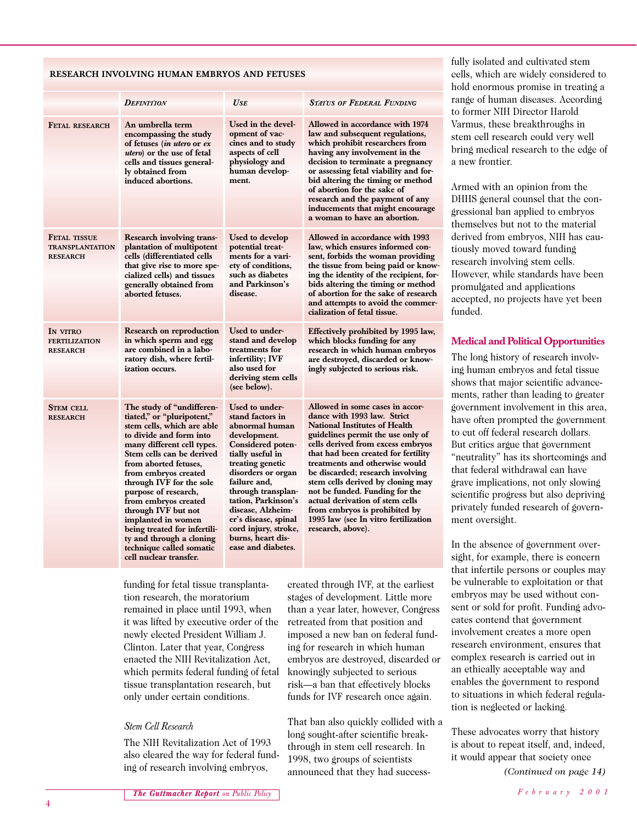#### **RESEARCH INVOLVING HUMAN EMBRYOS AND FETUSES**

|                                                                  | <b>DEFINITION</b>                                                                                                                                                                                                                                                                                                                                                                                                                                                       | USE                                                                                                                                                                                                                                                                                                                                  | Status of Federal Funding                                                                                                                                                                                                                                                                                                                                                                                                                                                                             |
|------------------------------------------------------------------|-------------------------------------------------------------------------------------------------------------------------------------------------------------------------------------------------------------------------------------------------------------------------------------------------------------------------------------------------------------------------------------------------------------------------------------------------------------------------|--------------------------------------------------------------------------------------------------------------------------------------------------------------------------------------------------------------------------------------------------------------------------------------------------------------------------------------|-------------------------------------------------------------------------------------------------------------------------------------------------------------------------------------------------------------------------------------------------------------------------------------------------------------------------------------------------------------------------------------------------------------------------------------------------------------------------------------------------------|
| FETAL RESEARCH                                                   | An umbrella term<br>encompassing the study<br>of fetuses ( <i>in utero</i> or <i>ex</i><br><i>utero</i> ) or the use of fetal<br>cells and tissues general-<br>ly obtained from<br>induced abortions.                                                                                                                                                                                                                                                                   | Used in the devel-<br>opment of vac-<br>cines and to study<br>aspects of cell<br>physiology and<br>human develop-<br>ment.                                                                                                                                                                                                           | Allowed in accordance with 1974<br>law and subsequent regulations,<br>which prohibit researchers from<br>having any involvement in the<br>decision to terminate a pregnancy<br>or assessing fetal viability and for-<br>bid altering the timing or method<br>of abortion for the sake of<br>research and the payment of any<br>inducements that might encourage<br>a woman to have an abortion.                                                                                                       |
| <b>FETAL TISSUE</b><br><b>TRANSPLANTATION</b><br><b>RESEARCH</b> | <b>Research involving trans-</b><br>plantation of multipotent<br>cells (differentiated cells<br>that give rise to more spe-<br>cialized cells) and tissues<br>generally obtained from<br>aborted fetuses.                                                                                                                                                                                                                                                               | Used to develop<br>potential treat-<br>ments for a vari-<br>ety of conditions,<br>such as diabetes<br>and Parkinson's<br>disease.                                                                                                                                                                                                    | Allowed in accordance with 1993<br>law, which ensures informed con-<br>sent, forbids the woman providing<br>the tissue from being paid or know-<br>ing the identity of the recipient, for-<br>bids altering the timing or method<br>of abortion for the sake of research<br>and attempts to avoid the commer-<br>cialization of fetal tissue.                                                                                                                                                         |
| IN VITRO<br><b>FERTILIZATION</b><br><b>RESEARCH</b>              | Research on reproduction<br>in which sperm and egg<br>are combined in a labo-<br>ratory dish, where fertil-<br>ization occurs.                                                                                                                                                                                                                                                                                                                                          | Used to under-<br>stand and develop<br>treatments for<br>infertility; IVF<br>also used for<br>deriving stem cells<br>(see below).                                                                                                                                                                                                    | Effectively prohibited by 1995 law,<br>which blocks funding for any<br>research in which human embryos<br>are destroyed, discarded or know-<br>ingly subjected to serious risk.                                                                                                                                                                                                                                                                                                                       |
| <b>STEM CELL</b><br><b>RESEARCH</b>                              | The study of "undifferen-<br>tiated," or "pluripotent,"<br>stem cells, which are able<br>to divide and form into<br>many different cell types.<br>Stem cells can be derived<br>from aborted fetuses,<br>from embryos created<br>through IVF for the sole<br>purpose of research,<br>from embryos created<br>through IVF but not<br>implanted in women<br>being treated for infertili-<br>ty and through a cloning<br>technique called somatic<br>cell nuclear transfer. | Used to under-<br>stand factors in<br>abnormal human<br>development.<br>Considered poten-<br>tially useful in<br>treating genetic<br>disorders or organ<br>failure and,<br>through transplan-<br>tation, Parkinson's<br>disease, Alzheim-<br>er's disease, spinal<br>cord injury, stroke,<br>burns, heart dis-<br>ease and diabetes. | Allowed in some cases in accor-<br>dance with 1993 law. Strict<br><b>National Institutes of Health</b><br>guidelines permit the use only of<br>cells derived from excess embryos<br>that had been created for fertility<br>treatments and otherwise would<br>be discarded; research involving<br>stem cells derived by cloning may<br>not be funded. Funding for the<br>actual derivation of stem cells<br>from embryos is prohibited by<br>1995 law (see In vitro fertilization<br>research, above). |

fully isolated and cultivated stem cells, which are widely considered to hold enormous promise in treating a range of human diseases. According to former NIH Director Harold Varmus, these breakthroughs in stem cell research could very well bring medical research to the edge of a new frontier.

Armed with an opinion from the DHHS general counsel that the congressional ban applied to embryos themselves but not to the material derived from embryos, NIH has cautiously moved toward funding research involving stem cells. However, while standards have been promulgated and applications accepted, no projects have yet been funded.

## **Medical and Political Opportunities**

The long history of research involving human embryos and fetal tissue shows that major scientific advancements, rather than leading to greater government involvement in this area, have often prompted the government to cut off federal research dollars. But critics argue that government "neutrality" has its shortcomings and that federal withdrawal can have grave implications, not only slowing scientific progress but also depriving privately funded research of government oversight.

In the absence of government oversight, for example, there is concern that infertile persons or couples may be vulnerable to exploitation or that embryos may be used without consent or sold for profit. Funding advocates contend that government involvement creates a more open research environment, ensures that complex research is carried out in an ethically acceptable way and enables the government to respond to situations in which federal regulation is neglected or lacking.

These advocates worry that history is about to repeat itself, and, indeed, it would appear that society once

funding for fetal tissue transplantation research, the moratorium remained in place until 1993, when it was lifted by executive order of the newly elected President William J. Clinton. Later that year, Congress enacted the NIH Revitalization Act, which permits federal funding of fetal tissue transplantation research, but only under certain conditions.

## *Stem Cell Research*

The NIH Revitalization Act of 1993 also cleared the way for federal funding of research involving embryos,

created through IVF, at the earliest stages of development. Little more than a year later, however, Congress retreated from that position and imposed a new ban on federal funding for research in which human embryos are destroyed, discarded or knowingly subjected to serious risk—a ban that effectively blocks funds for IVF research once again.

That ban also quickly collided with a long sought-after scientific breakthrough in stem cell research. In 1998, two groups of scientists announced that they had success- *(Continued on page 14)*